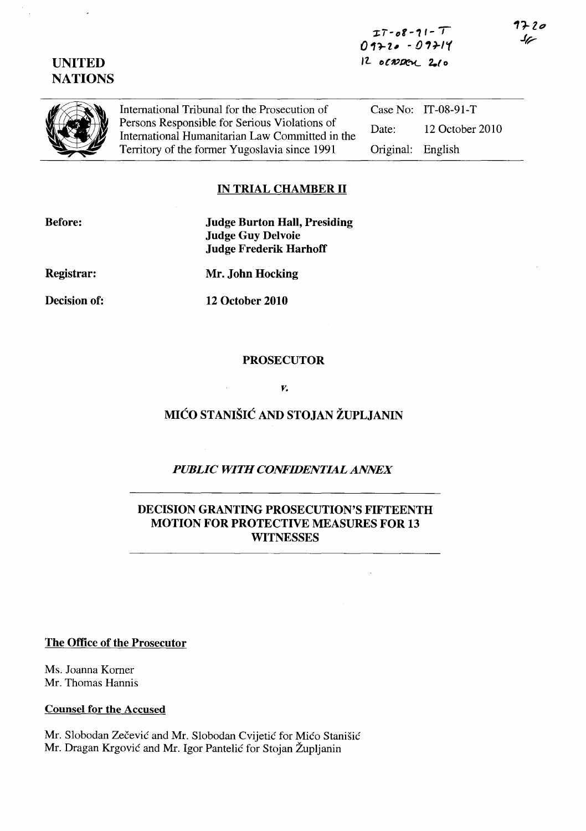$IT-08-71-T$  $0.17 - 0.29 - 0.79$ *rz..* o('»PC""L 2.( 0

UNITED **NATIONS** 

International Tribunal for the Prosecution of<br>Persons Responsible for Serious Violations of<br>International Humanitarian Law Committed<br>Territory of the former Yugoslavia since 199 Persons Responsible for Serious Violations of International Humanitarian Law Committed in the Territory of the former Yugoslavia since 1991

Case No: IT-08-91-T Date: 12 October 2010 Original: English

1720 سمك

## IN TRIAL CHAMBER **11**

Before:

Judge Burton Hall, Presiding Judge Guy Delvoie Judge Frederik Harhoff

Registrar:

Decision of:

Mr. John Hocking

12 October 2010

#### PROSECUTOR

*v.* 

# MIĆO STANIŠIĆ AND STOJAN ŽUPLJANIN

# *PUBLIC WITH CONFIDENTIAL ANNEX*

#### DECISION GRANTING PROSECUTION'S FIFTEENTH MOTION FOR PROTECTIVE MEASURES FOR 13 **WITNESSES**

The Office of the Prosecutor

Ms. Joanna Korner Mr. Thomas Hannis

Counsel for the Accused

Mr. Slobodan Zečević and Mr. Slobodan Cvijetić for Mićo Stanišić Mr. Dragan Krgovic and Mr. Igor Pantelic for Stojan Zupljanin

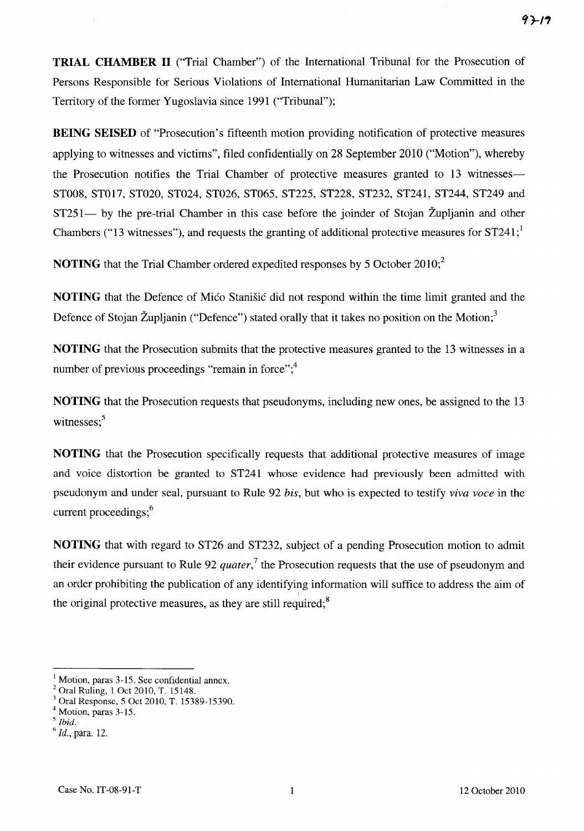**TRIAL CHAMBER 11** ("Trial Chamber") of the International Tribunal for the Prosecution of Persons Responsible for Serious Violations of International Humanitarian Law Committed in the Territory of the former Yugoslavia since 1991 ("Tribunal");

**BEING SEISED** of "Prosecution's fifteenth motion providing notification of protective measures applying to witnesses and victims", filed confidentially on 28 September 2010 ("Motion"), whereby the Prosecution notifies the Trial Chamber of protective measures granted to 13 witnesses-ST008, ST017, ST020, ST024, ST026, ST065, ST225, ST228, ST232, ST241, ST244, ST249 and ST251— by the pre-trial Chamber in this case before the joinder of Stojan Župljanin and other Chambers ("13 witnesses"), and requests the granting of additional protective measures for  $ST241$ ;<sup>1</sup>

**NOTING** that the Trial Chamber ordered expedited responses by 5 October 2010;<sup>2</sup>

**NOTING** that the Defence of Mico Stanisic did not respond within the time limit granted and the Defence of Stojan Župljanin ("Defence") stated orally that it takes no position on the Motion;<sup>3</sup>

**NOTING** that the Prosecution submits that the protective measures granted to the 13 witnesses in a number of previous proceedings "remain in force"; $\frac{4}{3}$ 

**NOTING** that the Prosecution requests that pseudonyms, including new ones, be assigned to the 13 witnesses:<sup>5</sup>

**NOTING** that the Prosecution specifically requests that additional protective measures of image and voice distortion be granted to ST241 whose evidence had previously been admitted with pseUdonym and under seal, pursuant to Rule 92 *his,* but who is expected to testify *viva voce* in the current proceedings;<sup>6</sup>

**NOTING** that with regard to ST26 and ST232, subject of a pending Prosecution motion to admit their evidence pursuant to Rule 92 *quater,<sup>7</sup>*the Prosecution requests that the use of pseudonym and an order prohibiting the publication of any identifying information will suffice to address the aim of the original protective measures, as they are still required; $8$ 

<sup>&</sup>lt;sup>1</sup> Motion, paras 3-15. See confidential annex.

<sup>2</sup> Oral Ruling, 1 Oct 2010, T. 15148.

<sup>3</sup> Oral Response, 5 Oct 2010, T. 15389-15390.

Motion, paras 3-15.

*<sup>5</sup> Ibid.* 

*<sup>6</sup> Id.,* para. 12.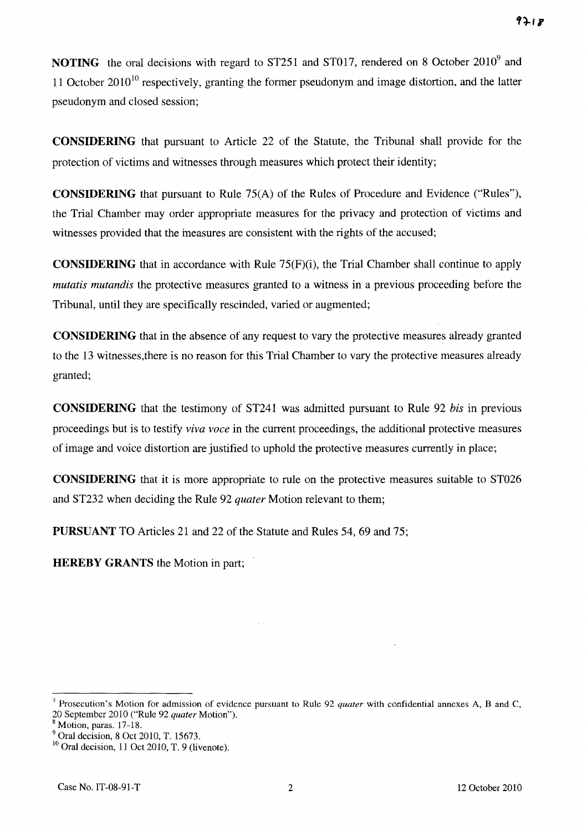**NOTING** the oral decisions with regard to ST251 and ST017, rendered on 8 October 2010<sup>9</sup> and 11 October  $2010^{10}$  respectively, granting the former pseudonym and image distortion, and the latter pseudonym and closed session;

**CONSIDERING** that pursuant to Article 22 of the Statute, the Tribunal shall provide for the protection of victims and witnesses through measures which protect their identity;

**CONSIDERING** that pursuant to Rule 75(A) of the Rules of Procedure and Evidence ("Rules"), the Trial Chamber may order appropriate measures for the privacy and protection of victims and witnesses provided that the measures are consistent with the rights of the accused;

**CONSIDERING** that in accordance with Rule 75(F)(i), the Trial Chamber shall continue to apply *mutatis mutandis* the protective measures granted to a witness in a previous proceeding before the Tribunal, until they are specifically rescinded, varied or augmented;

**CONSIDERING** that in the absence of any request to vary the protective measures already granted to the 13 witnesses,there is no reason for this Trial Chamber to vary the protective measures already granted;

**CONSIDERING** that the testimony of ST241 was admitted pursuant to Rule 92 *his* in previous proceedings but is to testify *viva voce* in the current proceedings, the additional protective measures of image and voice distortion are justified to uphold the protective measures currently in place;

**CONSIDERING** that it is more appropriate to rule on the protective measures suitable to ST026 and ST232 when deciding the Rule 92 *quater* Motion relevant to them;

**PURSUANT** TO Articles 21 and 22 of the Statute and Rules 54, 69 and 75;

**HEREBY GRANTS** the Motion in part;

<sup>7</sup> Prosecution's Motion for admission of evidence pursuant to Rule 92 *quater* with confidential annexes A, Band C, 20 September 2010 ("Rule 92 *quater* Motion").

<sup>8</sup> Motion, paras. 17-18.

Oral decision, 8 Oct 2010, T. 15673.

 $10$  Oral decision, 11 Oct 2010, T. 9 (livenote).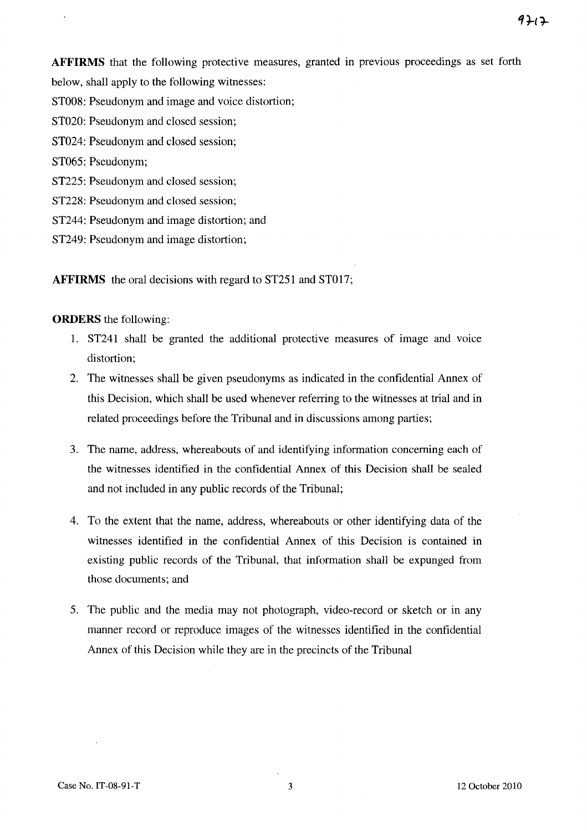**AFFIRMS** that the following protective measures, granted in previous proceedings as set forth below, shall apply to the following witnesses:

ST008: Pseudonym and image and voice distortion;

ST020: Pseudonym and closed session;

ST024: Pseudonym and closed session;

ST065: Pseudonym;

ST225: Pseudonym and closed session;

ST228: Pseudonym and closed session;

ST244: Pseudonym and image distortion; and

ST249: Pseudonym and image distortion;

**AFFIRMS** the oral decisions with regard to ST251 and ST017;

#### **ORDERS** the following:

- 1. ST241 shall be granted the additional protective measures of image and voice distortion;
- 2. The witnesses shall be given pseudonyms as indicated in the confidential Annex of this Decision, which shall be used whenever referring to the witnesses at trial and in related proceedings before the Tribunal and in discussions among parties;
- 3. The name, address, whereabouts of and identifying information concerning each of the witnesses identified in the confidential Annex of this Decision shall be sealed and not included in any public records of the Tribunal;
- 4. To the extent that the name, address, whereabouts or other identifying data of the witnesses identified in the confidential Annex of this Decision is contained in existing public records of the Tribunal, that information shall be expunged from those documents; and
- 5. The public and the media may not photograph, video-record or sketch or in any manner record or reproduce images of the witnesses identified in the confidential Annex of this Decision while they are in the precincts of the Tribunal

9717